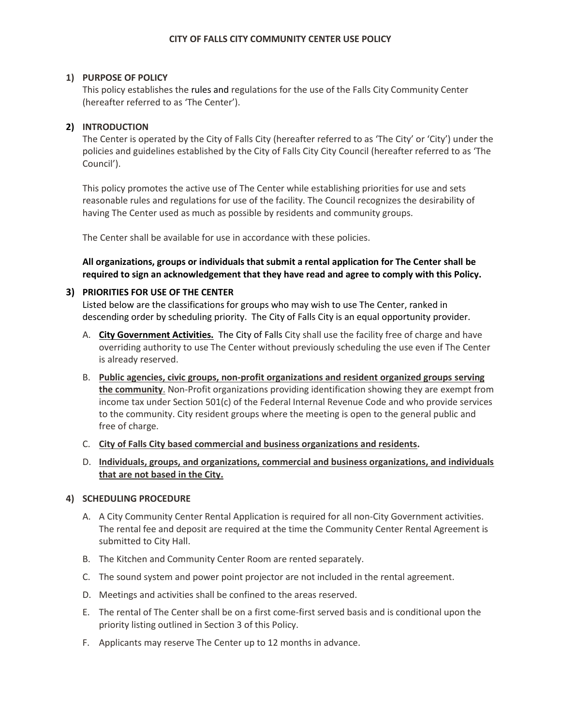# **1) PURPOSE OF POLICY**

This policy establishes the rules and regulations for the use of the Falls City Community Center (hereafter referred to as 'The Center').

# **2) INTRODUCTION**

The Center is operated by the City of Falls City (hereafter referred to as 'The City' or 'City') under the policies and guidelines established by the City of Falls City City Council (hereafter referred to as 'The Council').

This policy promotes the active use of The Center while establishing priorities for use and sets reasonable rules and regulations for use of the facility. The Council recognizes the desirability of having The Center used as much as possible by residents and community groups.

The Center shall be available for use in accordance with these policies.

**All organizations, groups or individuals that submit a rental application for The Center shall be required to sign an acknowledgement that they have read and agree to comply with this Policy.** 

# **3) PRIORITIES FOR USE OF THE CENTER**

Listed below are the classifications for groups who may wish to use The Center, ranked in descending order by scheduling priority. The City of Falls City is an equal opportunity provider.

- A. **City Government Activities.** The City of Falls City shall use the facility free of charge and have overriding authority to use The Center without previously scheduling the use even if The Center is already reserved.
- B. **Public agencies, civic groups, non-profit organizations and resident organized groups serving the community**. Non-Profit organizations providing identification showing they are exempt from income tax under Section 501(c) of the Federal Internal Revenue Code and who provide services to the community. City resident groups where the meeting is open to the general public and free of charge.
- C. **City of Falls City based commercial and business organizations and residents.**
- D. **Individuals, groups, and organizations, commercial and business organizations, and individuals that are not based in the City.**

# **4) SCHEDULING PROCEDURE**

- A. A City Community Center Rental Application is required for all non-City Government activities. The rental fee and deposit are required at the time the Community Center Rental Agreement is submitted to City Hall.
- B. The Kitchen and Community Center Room are rented separately.
- C. The sound system and power point projector are not included in the rental agreement.
- D. Meetings and activities shall be confined to the areas reserved.
- E. The rental of The Center shall be on a first come-first served basis and is conditional upon the priority listing outlined in Section 3 of this Policy.
- F. Applicants may reserve The Center up to 12 months in advance.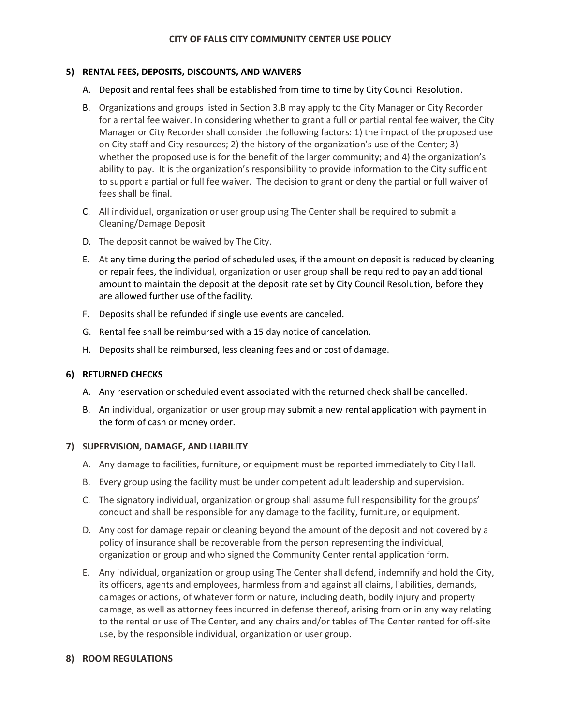# **5) RENTAL FEES, DEPOSITS, DISCOUNTS, AND WAIVERS**

- A. Deposit and rental fees shall be established from time to time by City Council Resolution.
- B. Organizations and groups listed in Section 3.B may apply to the City Manager or City Recorder for a rental fee waiver. In considering whether to grant a full or partial rental fee waiver, the City Manager or City Recorder shall consider the following factors: 1) the impact of the proposed use on City staff and City resources; 2) the history of the organization's use of the Center; 3) whether the proposed use is for the benefit of the larger community; and 4) the organization's ability to pay. It is the organization's responsibility to provide information to the City sufficient to support a partial or full fee waiver. The decision to grant or deny the partial or full waiver of fees shall be final.
- C. All individual, organization or user group using The Center shall be required to submit a Cleaning/Damage Deposit
- D. The deposit cannot be waived by The City.
- E. At any time during the period of scheduled uses, if the amount on deposit is reduced by cleaning or repair fees, the individual, organization or user group shall be required to pay an additional amount to maintain the deposit at the deposit rate set by City Council Resolution, before they are allowed further use of the facility.
- F. Deposits shall be refunded if single use events are canceled.
- G. Rental fee shall be reimbursed with a 15 day notice of cancelation.
- H. Deposits shall be reimbursed, less cleaning fees and or cost of damage.

# **6) RETURNED CHECKS**

- A. Any reservation or scheduled event associated with the returned check shall be cancelled.
- B. An individual, organization or user group may submit a new rental application with payment in the form of cash or money order.

### **7) SUPERVISION, DAMAGE, AND LIABILITY**

- A. Any damage to facilities, furniture, or equipment must be reported immediately to City Hall.
- B. Every group using the facility must be under competent adult leadership and supervision.
- C. The signatory individual, organization or group shall assume full responsibility for the groups' conduct and shall be responsible for any damage to the facility, furniture, or equipment.
- D. Any cost for damage repair or cleaning beyond the amount of the deposit and not covered by a policy of insurance shall be recoverable from the person representing the individual, organization or group and who signed the Community Center rental application form.
- E. Any individual, organization or group using The Center shall defend, indemnify and hold the City, its officers, agents and employees, harmless from and against all claims, liabilities, demands, damages or actions, of whatever form or nature, including death, bodily injury and property damage, as well as attorney fees incurred in defense thereof, arising from or in any way relating to the rental or use of The Center, and any chairs and/or tables of The Center rented for off-site use, by the responsible individual, organization or user group.

### **8) ROOM REGULATIONS**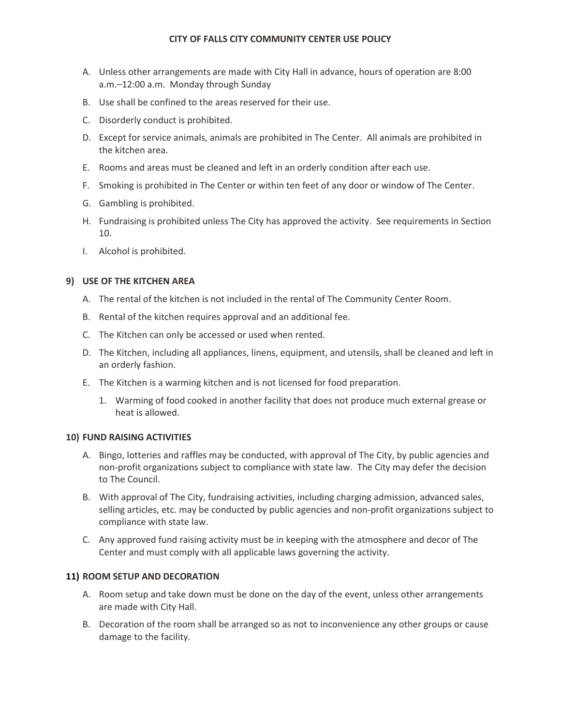### **CITY OF FALLS CITY COMMUNITY CENTER USE POLICY**

- A. Unless other arrangements are made with City Hall in advance, hours of operation are 8:00 a.m.–12:00 a.m. Monday through Sunday
- B. Use shall be confined to the areas reserved for their use.
- C. Disorderly conduct is prohibited.
- D. Except for service animals, animals are prohibited in The Center. All animals are prohibited in the kitchen area.
- E. Rooms and areas must be cleaned and left in an orderly condition after each use.
- F. Smoking is prohibited in The Center or within ten feet of any door or window of The Center.
- G. Gambling is prohibited.
- H. Fundraising is prohibited unless The City has approved the activity. See requirements in Section 10.
- I. Alcohol is prohibited.

### **9) USE OF THE KITCHEN AREA**

- A. The rental of the kitchen is not included in the rental of The Community Center Room.
- B. Rental of the kitchen requires approval and an additional fee.
- C. The Kitchen can only be accessed or used when rented.
- D. The Kitchen, including all appliances, linens, equipment, and utensils, shall be cleaned and left in an orderly fashion.
- E. The Kitchen is a warming kitchen and is not licensed for food preparation.
	- 1. Warming of food cooked in another facility that does not produce much external grease or heat is allowed.

### **10) FUND RAISING ACTIVITIES**

- A. Bingo, lotteries and raffles may be conducted, with approval of The City, by public agencies and non-profit organizations subject to compliance with state law. The City may defer the decision to The Council.
- B. With approval of The City, fundraising activities, including charging admission, advanced sales, selling articles, etc. may be conducted by public agencies and non-profit organizations subject to compliance with state law.
- C. Any approved fund raising activity must be in keeping with the atmosphere and decor of The Center and must comply with all applicable laws governing the activity.

# **11) ROOM SETUP AND DECORATION**

- A. Room setup and take down must be done on the day of the event, unless other arrangements are made with City Hall.
- B. Decoration of the room shall be arranged so as not to inconvenience any other groups or cause damage to the facility.